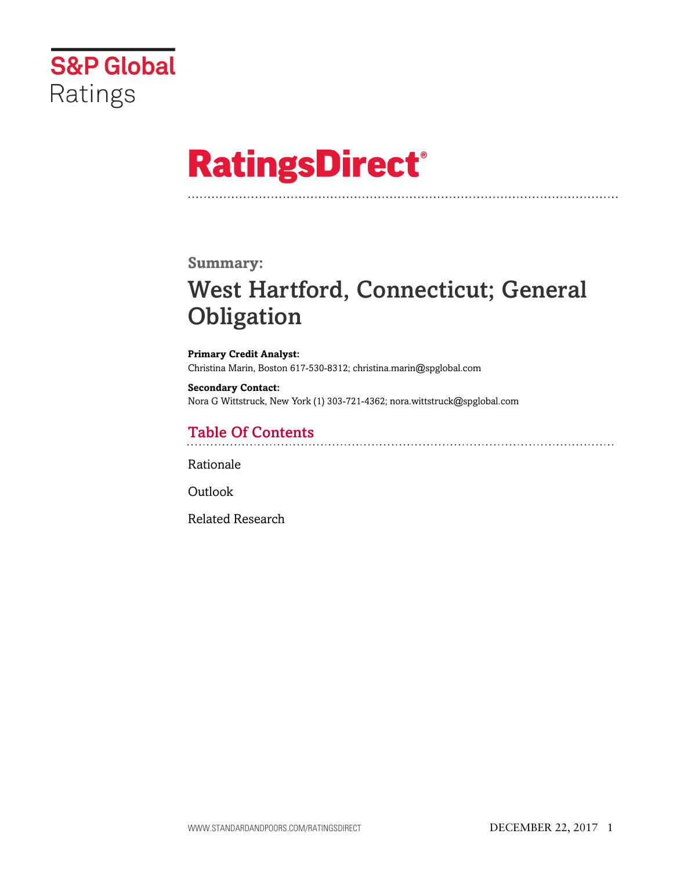

# **RatingsDirect®**

### **Summary:**

# West Hartford, Connecticut; General **Obligation**

**Primary Credit Analyst:** Christina Marin, Boston 617-530-8312; christina.marin@spglobal.com

**Secondary Contact:** Nora G Wittstruck, New York (1) 303-721-4362; nora.wittstruck@spglobal.com

# Table Of Contents

[Rationale](#page-1-0)

[Outlook](#page-5-0)

[Related Research](#page-5-1)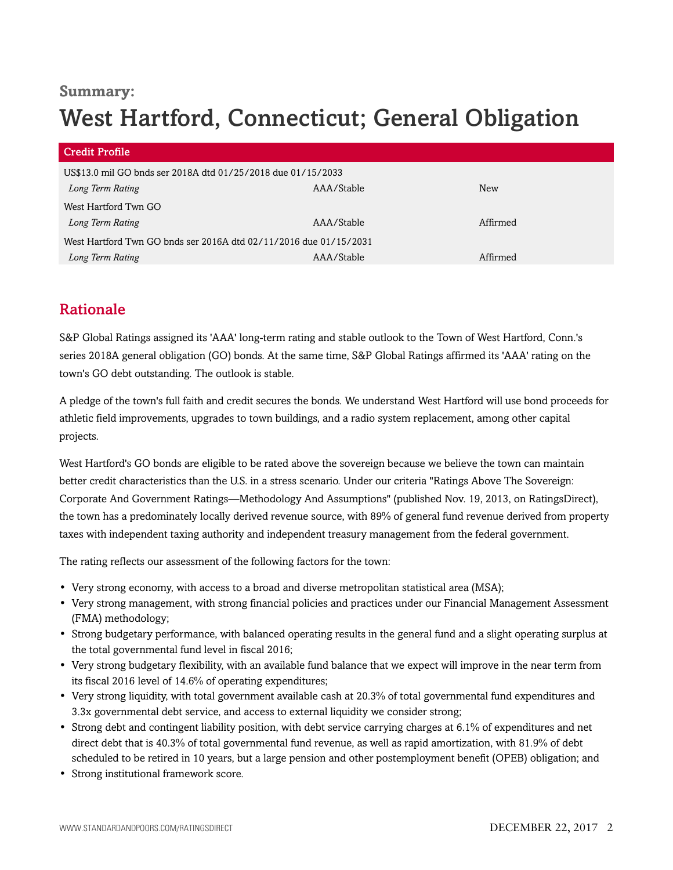## **Summary:**

# West Hartford, Connecticut; General Obligation

| <b>Credit Profile</b>                                             |            |          |
|-------------------------------------------------------------------|------------|----------|
| US\$13.0 mil GO bnds ser 2018A dtd 01/25/2018 due 01/15/2033      |            |          |
| Long Term Rating                                                  | AAA/Stable | New      |
| West Hartford Twn GO                                              |            |          |
| Long Term Rating                                                  | AAA/Stable | Affirmed |
| West Hartford Twn GO bnds ser 2016A dtd 02/11/2016 due 01/15/2031 |            |          |
| Long Term Rating                                                  | AAA/Stable | Affirmed |

# <span id="page-1-0"></span>Rationale

S&P Global Ratings assigned its 'AAA' long-term rating and stable outlook to the Town of West Hartford, Conn.'s series 2018A general obligation (GO) bonds. At the same time, S&P Global Ratings affirmed its 'AAA' rating on the town's GO debt outstanding. The outlook is stable.

A pledge of the town's full faith and credit secures the bonds. We understand West Hartford will use bond proceeds for athletic field improvements, upgrades to town buildings, and a radio system replacement, among other capital projects.

West Hartford's GO bonds are eligible to be rated above the sovereign because we believe the town can maintain better credit characteristics than the U.S. in a stress scenario. Under our criteria "Ratings Above The Sovereign: Corporate And Government Ratings—Methodology And Assumptions" (published Nov. 19, 2013, on RatingsDirect), the town has a predominately locally derived revenue source, with 89% of general fund revenue derived from property taxes with independent taxing authority and independent treasury management from the federal government.

The rating reflects our assessment of the following factors for the town:

- Very strong economy, with access to a broad and diverse metropolitan statistical area (MSA);
- Very strong management, with strong financial policies and practices under our Financial Management Assessment (FMA) methodology;
- Strong budgetary performance, with balanced operating results in the general fund and a slight operating surplus at the total governmental fund level in fiscal 2016;
- Very strong budgetary flexibility, with an available fund balance that we expect will improve in the near term from its fiscal 2016 level of 14.6% of operating expenditures;
- Very strong liquidity, with total government available cash at 20.3% of total governmental fund expenditures and 3.3x governmental debt service, and access to external liquidity we consider strong;
- Strong debt and contingent liability position, with debt service carrying charges at 6.1% of expenditures and net direct debt that is 40.3% of total governmental fund revenue, as well as rapid amortization, with 81.9% of debt scheduled to be retired in 10 years, but a large pension and other postemployment benefit (OPEB) obligation; and
- Strong institutional framework score.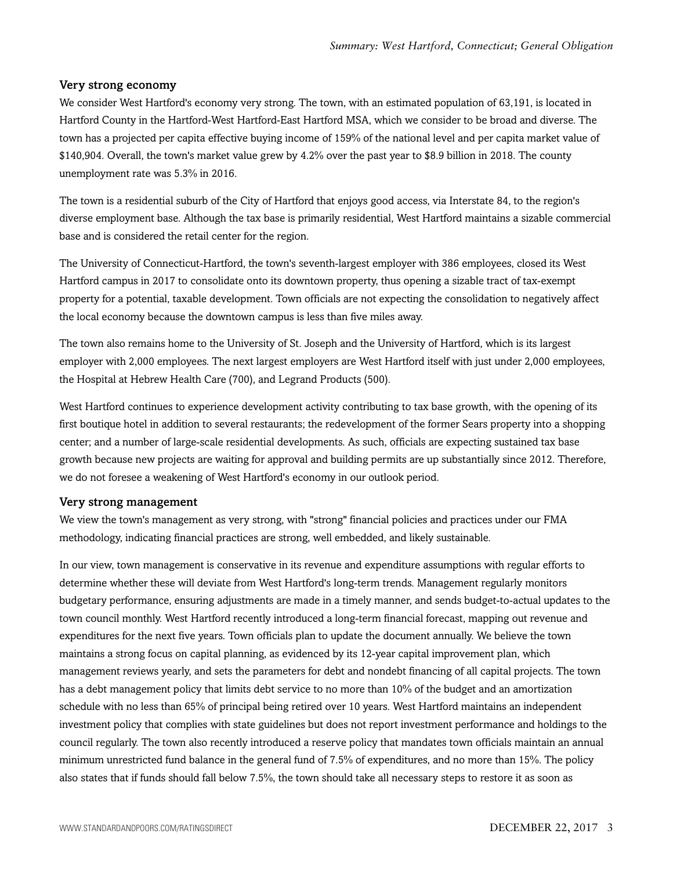#### Very strong economy

We consider West Hartford's economy very strong. The town, with an estimated population of 63,191, is located in Hartford County in the Hartford-West Hartford-East Hartford MSA, which we consider to be broad and diverse. The town has a projected per capita effective buying income of 159% of the national level and per capita market value of \$140,904. Overall, the town's market value grew by 4.2% over the past year to \$8.9 billion in 2018. The county unemployment rate was 5.3% in 2016.

The town is a residential suburb of the City of Hartford that enjoys good access, via Interstate 84, to the region's diverse employment base. Although the tax base is primarily residential, West Hartford maintains a sizable commercial base and is considered the retail center for the region.

The University of Connecticut-Hartford, the town's seventh-largest employer with 386 employees, closed its West Hartford campus in 2017 to consolidate onto its downtown property, thus opening a sizable tract of tax-exempt property for a potential, taxable development. Town officials are not expecting the consolidation to negatively affect the local economy because the downtown campus is less than five miles away.

The town also remains home to the University of St. Joseph and the University of Hartford, which is its largest employer with 2,000 employees. The next largest employers are West Hartford itself with just under 2,000 employees, the Hospital at Hebrew Health Care (700), and Legrand Products (500).

West Hartford continues to experience development activity contributing to tax base growth, with the opening of its first boutique hotel in addition to several restaurants; the redevelopment of the former Sears property into a shopping center; and a number of large-scale residential developments. As such, officials are expecting sustained tax base growth because new projects are waiting for approval and building permits are up substantially since 2012. Therefore, we do not foresee a weakening of West Hartford's economy in our outlook period.

#### Very strong management

We view the town's management as very strong, with "strong" financial policies and practices under our FMA methodology, indicating financial practices are strong, well embedded, and likely sustainable.

In our view, town management is conservative in its revenue and expenditure assumptions with regular efforts to determine whether these will deviate from West Hartford's long-term trends. Management regularly monitors budgetary performance, ensuring adjustments are made in a timely manner, and sends budget-to-actual updates to the town council monthly. West Hartford recently introduced a long-term financial forecast, mapping out revenue and expenditures for the next five years. Town officials plan to update the document annually. We believe the town maintains a strong focus on capital planning, as evidenced by its 12-year capital improvement plan, which management reviews yearly, and sets the parameters for debt and nondebt financing of all capital projects. The town has a debt management policy that limits debt service to no more than 10% of the budget and an amortization schedule with no less than 65% of principal being retired over 10 years. West Hartford maintains an independent investment policy that complies with state guidelines but does not report investment performance and holdings to the council regularly. The town also recently introduced a reserve policy that mandates town officials maintain an annual minimum unrestricted fund balance in the general fund of 7.5% of expenditures, and no more than 15%. The policy also states that if funds should fall below 7.5%, the town should take all necessary steps to restore it as soon as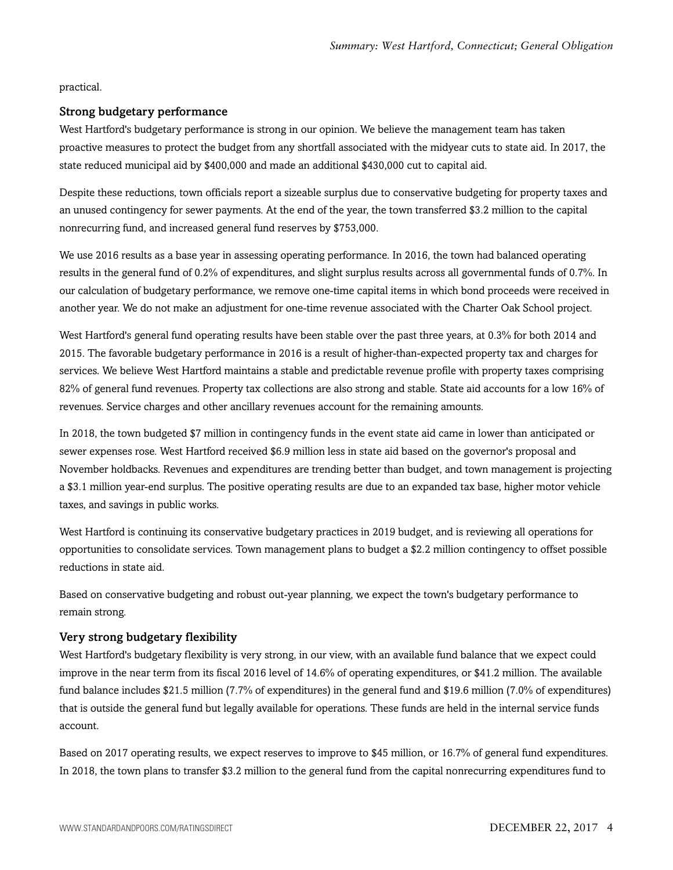practical.

#### Strong budgetary performance

West Hartford's budgetary performance is strong in our opinion. We believe the management team has taken proactive measures to protect the budget from any shortfall associated with the midyear cuts to state aid. In 2017, the state reduced municipal aid by \$400,000 and made an additional \$430,000 cut to capital aid.

Despite these reductions, town officials report a sizeable surplus due to conservative budgeting for property taxes and an unused contingency for sewer payments. At the end of the year, the town transferred \$3.2 million to the capital nonrecurring fund, and increased general fund reserves by \$753,000.

We use 2016 results as a base year in assessing operating performance. In 2016, the town had balanced operating results in the general fund of 0.2% of expenditures, and slight surplus results across all governmental funds of 0.7%. In our calculation of budgetary performance, we remove one-time capital items in which bond proceeds were received in another year. We do not make an adjustment for one-time revenue associated with the Charter Oak School project.

West Hartford's general fund operating results have been stable over the past three years, at 0.3% for both 2014 and 2015. The favorable budgetary performance in 2016 is a result of higher-than-expected property tax and charges for services. We believe West Hartford maintains a stable and predictable revenue profile with property taxes comprising 82% of general fund revenues. Property tax collections are also strong and stable. State aid accounts for a low 16% of revenues. Service charges and other ancillary revenues account for the remaining amounts.

In 2018, the town budgeted \$7 million in contingency funds in the event state aid came in lower than anticipated or sewer expenses rose. West Hartford received \$6.9 million less in state aid based on the governor's proposal and November holdbacks. Revenues and expenditures are trending better than budget, and town management is projecting a \$3.1 million year-end surplus. The positive operating results are due to an expanded tax base, higher motor vehicle taxes, and savings in public works.

West Hartford is continuing its conservative budgetary practices in 2019 budget, and is reviewing all operations for opportunities to consolidate services. Town management plans to budget a \$2.2 million contingency to offset possible reductions in state aid.

Based on conservative budgeting and robust out-year planning, we expect the town's budgetary performance to remain strong.

#### Very strong budgetary flexibility

West Hartford's budgetary flexibility is very strong, in our view, with an available fund balance that we expect could improve in the near term from its fiscal 2016 level of 14.6% of operating expenditures, or \$41.2 million. The available fund balance includes \$21.5 million (7.7% of expenditures) in the general fund and \$19.6 million (7.0% of expenditures) that is outside the general fund but legally available for operations. These funds are held in the internal service funds account.

Based on 2017 operating results, we expect reserves to improve to \$45 million, or 16.7% of general fund expenditures. In 2018, the town plans to transfer \$3.2 million to the general fund from the capital nonrecurring expenditures fund to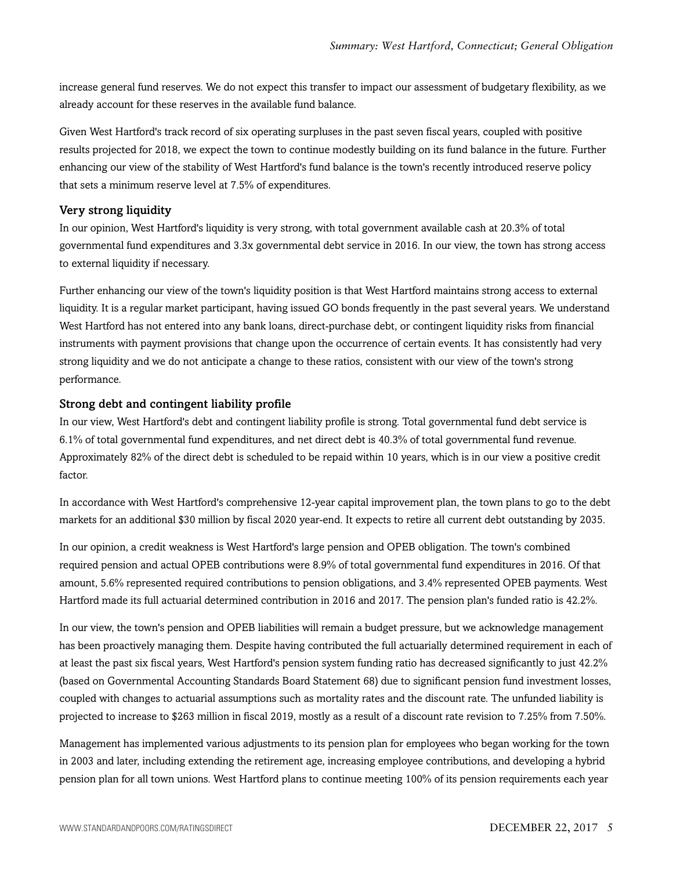increase general fund reserves. We do not expect this transfer to impact our assessment of budgetary flexibility, as we already account for these reserves in the available fund balance.

Given West Hartford's track record of six operating surpluses in the past seven fiscal years, coupled with positive results projected for 2018, we expect the town to continue modestly building on its fund balance in the future. Further enhancing our view of the stability of West Hartford's fund balance is the town's recently introduced reserve policy that sets a minimum reserve level at 7.5% of expenditures.

#### Very strong liquidity

In our opinion, West Hartford's liquidity is very strong, with total government available cash at 20.3% of total governmental fund expenditures and 3.3x governmental debt service in 2016. In our view, the town has strong access to external liquidity if necessary.

Further enhancing our view of the town's liquidity position is that West Hartford maintains strong access to external liquidity. It is a regular market participant, having issued GO bonds frequently in the past several years. We understand West Hartford has not entered into any bank loans, direct-purchase debt, or contingent liquidity risks from financial instruments with payment provisions that change upon the occurrence of certain events. It has consistently had very strong liquidity and we do not anticipate a change to these ratios, consistent with our view of the town's strong performance.

#### Strong debt and contingent liability profile

In our view, West Hartford's debt and contingent liability profile is strong. Total governmental fund debt service is 6.1% of total governmental fund expenditures, and net direct debt is 40.3% of total governmental fund revenue. Approximately 82% of the direct debt is scheduled to be repaid within 10 years, which is in our view a positive credit factor.

In accordance with West Hartford's comprehensive 12-year capital improvement plan, the town plans to go to the debt markets for an additional \$30 million by fiscal 2020 year-end. It expects to retire all current debt outstanding by 2035.

In our opinion, a credit weakness is West Hartford's large pension and OPEB obligation. The town's combined required pension and actual OPEB contributions were 8.9% of total governmental fund expenditures in 2016. Of that amount, 5.6% represented required contributions to pension obligations, and 3.4% represented OPEB payments. West Hartford made its full actuarial determined contribution in 2016 and 2017. The pension plan's funded ratio is 42.2%.

In our view, the town's pension and OPEB liabilities will remain a budget pressure, but we acknowledge management has been proactively managing them. Despite having contributed the full actuarially determined requirement in each of at least the past six fiscal years, West Hartford's pension system funding ratio has decreased significantly to just 42.2% (based on Governmental Accounting Standards Board Statement 68) due to significant pension fund investment losses, coupled with changes to actuarial assumptions such as mortality rates and the discount rate. The unfunded liability is projected to increase to \$263 million in fiscal 2019, mostly as a result of a discount rate revision to 7.25% from 7.50%.

Management has implemented various adjustments to its pension plan for employees who began working for the town in 2003 and later, including extending the retirement age, increasing employee contributions, and developing a hybrid pension plan for all town unions. West Hartford plans to continue meeting 100% of its pension requirements each year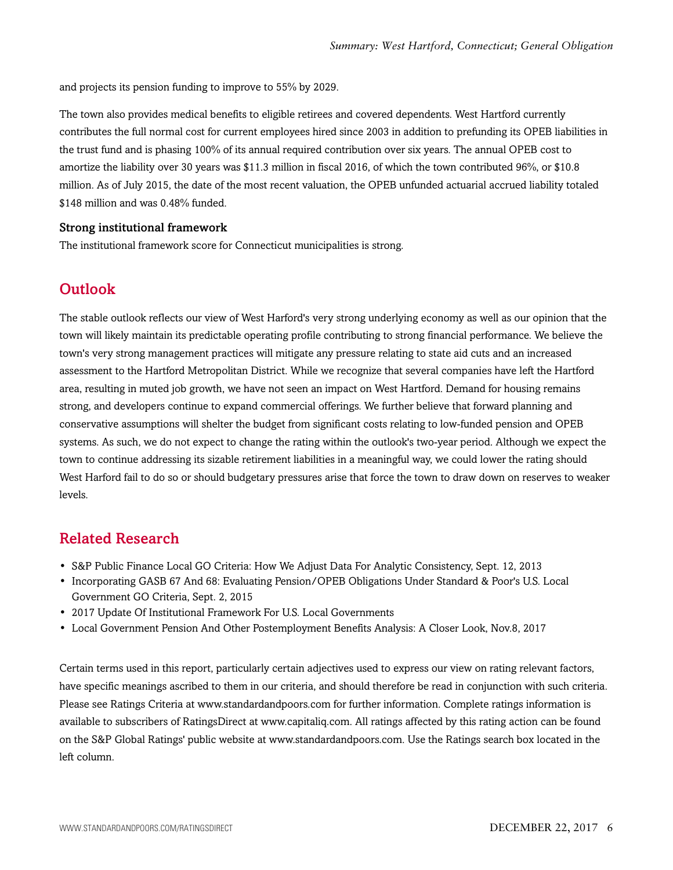and projects its pension funding to improve to 55% by 2029.

The town also provides medical benefits to eligible retirees and covered dependents. West Hartford currently contributes the full normal cost for current employees hired since 2003 in addition to prefunding its OPEB liabilities in the trust fund and is phasing 100% of its annual required contribution over six years. The annual OPEB cost to amortize the liability over 30 years was \$11.3 million in fiscal 2016, of which the town contributed 96%, or \$10.8 million. As of July 2015, the date of the most recent valuation, the OPEB unfunded actuarial accrued liability totaled \$148 million and was 0.48% funded.

#### Strong institutional framework

<span id="page-5-0"></span>The institutional framework score for Connecticut municipalities is strong.

### **Outlook**

The stable outlook reflects our view of West Harford's very strong underlying economy as well as our opinion that the town will likely maintain its predictable operating profile contributing to strong financial performance. We believe the town's very strong management practices will mitigate any pressure relating to state aid cuts and an increased assessment to the Hartford Metropolitan District. While we recognize that several companies have left the Hartford area, resulting in muted job growth, we have not seen an impact on West Hartford. Demand for housing remains strong, and developers continue to expand commercial offerings. We further believe that forward planning and conservative assumptions will shelter the budget from significant costs relating to low-funded pension and OPEB systems. As such, we do not expect to change the rating within the outlook's two-year period. Although we expect the town to continue addressing its sizable retirement liabilities in a meaningful way, we could lower the rating should West Harford fail to do so or should budgetary pressures arise that force the town to draw down on reserves to weaker levels.

## <span id="page-5-1"></span>Related Research

- S&P Public Finance Local GO Criteria: How We Adjust Data For Analytic Consistency, Sept. 12, 2013
- Incorporating GASB 67 And 68: Evaluating Pension/OPEB Obligations Under Standard & Poor's U.S. Local Government GO Criteria, Sept. 2, 2015
- 2017 Update Of Institutional Framework For U.S. Local Governments
- Local Government Pension And Other Postemployment Benefits Analysis: A Closer Look, Nov.8, 2017

Certain terms used in this report, particularly certain adjectives used to express our view on rating relevant factors, have specific meanings ascribed to them in our criteria, and should therefore be read in conjunction with such criteria. Please see Ratings Criteria at www.standardandpoors.com for further information. Complete ratings information is available to subscribers of RatingsDirect at www.capitaliq.com. All ratings affected by this rating action can be found on the S&P Global Ratings' public website at www.standardandpoors.com. Use the Ratings search box located in the left column.